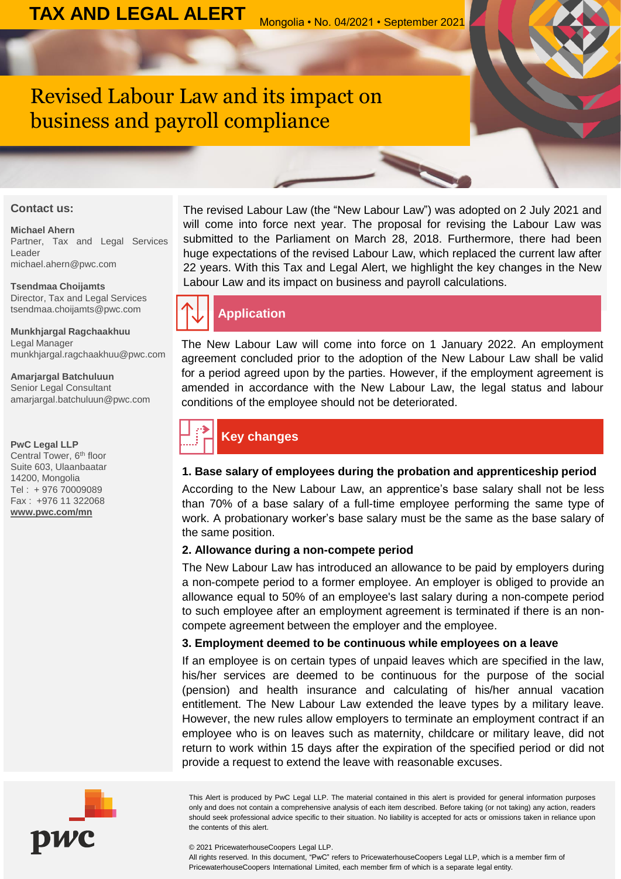# Revised Labour Law and its impact on business and payroll compliance

#### **Contact us:**

#### **Michael Ahern**

Partner, Tax and Legal Services Leader michael.ahern@pwc.com

#### **Tsendmaa Choijamts**

Director, Tax and Legal Services tsendmaa.choijamts@pwc.com

#### **Munkhjargal Ragchaakhuu** Legal Manager munkhjargal.ragchaakhuu@pwc.com

**Amarjargal Batchuluun** Senior Legal Consultant amarjargal.batchuluun@pwc.com

#### **PwC Legal LLP**

Central Tower, 6<sup>th</sup> floor Suite 603, Ulaanbaatar 14200, Mongolia Tel : + 976 70009089 Fax : +976 11 322068 **[www.pwc.com/mn](http://www.pwc.com/mn)**



# **Application**

The New Labour Law will come into force on 1 January 2022. An employment agreement concluded prior to the adoption of the New Labour Law shall be valid for a period agreed upon by the parties. However, if the employment agreement is amended in accordance with the New Labour Law, the legal status and labour conditions of the employee should not be deteriorated.

# **Key changes**

### **1. Base salary of employees during the probation and apprenticeship period**

According to the New Labour Law, an apprentice's base salary shall not be less than 70% of a base salary of a full-time employee performing the same type of work. A probationary worker's base salary must be the same as the base salary of the same position.

#### **2. Allowance during a non-compete period**

The New Labour Law has introduced an allowance to be paid by employers during a non-compete period to a former employee. An employer is obliged to provide an allowance equal to 50% of an employee's last salary during a non-compete period to such employee after an employment agreement is terminated if there is an noncompete agreement between the employer and the employee.

#### **3. Employment deemed to be continuous while employees on a leave**

If an employee is on certain types of unpaid leaves which are specified in the law, his/her services are deemed to be continuous for the purpose of the social (pension) and health insurance and calculating of his/her annual vacation entitlement. The New Labour Law extended the leave types by a military leave. However, the new rules allow employers to terminate an employment contract if an employee who is on leaves such as maternity, childcare or military leave, did not return to work within 15 days after the expiration of the specified period or did not provide a request to extend the leave with reasonable excuses.

This Alert is produced by PwC Legal LLP. The material contained in this alert is provided for general information purposes only and does not contain a comprehensive analysis of each item described. Before taking (or not taking) any action, readers should seek professional advice specific to their situation. No liability is accepted for acts or omissions taken in reliance upon the contents of this alert.

© 2021 PricewaterhouseCoopers Legal LLP.

All rights reserved. In this document, "PwC" refers to PricewaterhouseCoopers Legal LLP, which is a member firm of PricewaterhouseCoopers International Limited, each member firm of which is a separate legal entity.

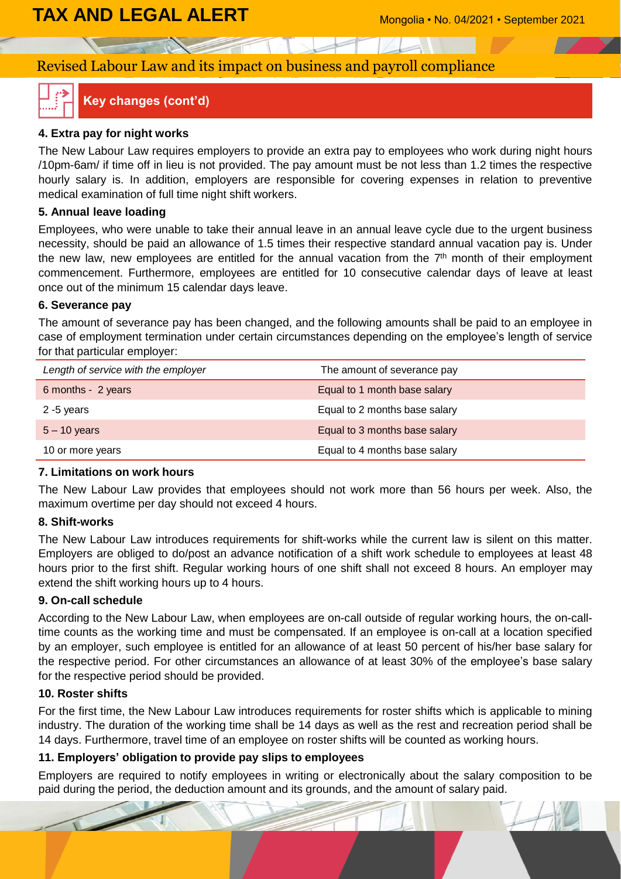# **TAX AND LEGAL ALERT** Mongolia • No. 04/2021 • September 2021

# Revised Labour Law and its impact on business and payroll compliance



### **Key changes (cont'd)**

#### **4. Extra pay for night works**

The New Labour Law requires employers to provide an extra pay to employees who work during night hours /10pm-6am/ if time off in lieu is not provided. The pay amount must be not less than 1.2 times the respective hourly salary is. In addition, employers are responsible for covering expenses in relation to preventive medical examination of full time night shift workers.

#### **5. Annual leave loading**

Employees, who were unable to take their annual leave in an annual leave cycle due to the urgent business necessity, should be paid an allowance of 1.5 times their respective standard annual vacation pay is. Under the new law, new employees are entitled for the annual vacation from the 7<sup>th</sup> month of their employment commencement. Furthermore, employees are entitled for 10 consecutive calendar days of leave at least once out of the minimum 15 calendar days leave.

#### **6. Severance pay**

The amount of severance pay has been changed, and the following amounts shall be paid to an employee in case of employment termination under certain circumstances depending on the employee's length of service for that particular employer:

| Length of service with the employer | The amount of severance pay   |
|-------------------------------------|-------------------------------|
| 6 months - 2 years                  | Equal to 1 month base salary  |
| 2 -5 years                          | Equal to 2 months base salary |
| $5 - 10$ years                      | Equal to 3 months base salary |
| 10 or more years                    | Equal to 4 months base salary |

#### **7. Limitations on work hours**

The New Labour Law provides that employees should not work more than 56 hours per week. Also, the maximum overtime per day should not exceed 4 hours.

#### **8. Shift-works**

The New Labour Law introduces requirements for shift-works while the current law is silent on this matter. Employers are obliged to do/post an advance notification of a shift work schedule to employees at least 48 hours prior to the first shift. Regular working hours of one shift shall not exceed 8 hours. An employer may extend the shift working hours up to 4 hours.

#### **9. On-call schedule**

According to the New Labour Law, when employees are on-call outside of regular working hours, the on-calltime counts as the working time and must be compensated. If an employee is on-call at a location specified by an employer, such employee is entitled for an allowance of at least 50 percent of his/her base salary for the respective period. For other circumstances an allowance of at least 30% of the employee's base salary for the respective period should be provided.

#### **10. Roster shifts**

For the first time, the New Labour Law introduces requirements for roster shifts which is applicable to mining industry. The duration of the working time shall be 14 days as well as the rest and recreation period shall be 14 days. Furthermore, travel time of an employee on roster shifts will be counted as working hours.

#### **11. Employers' obligation to provide pay slips to employees**

Employers are required to notify employees in writing or electronically about the salary composition to be paid during the period, the deduction amount and its grounds, and the amount of salary paid.